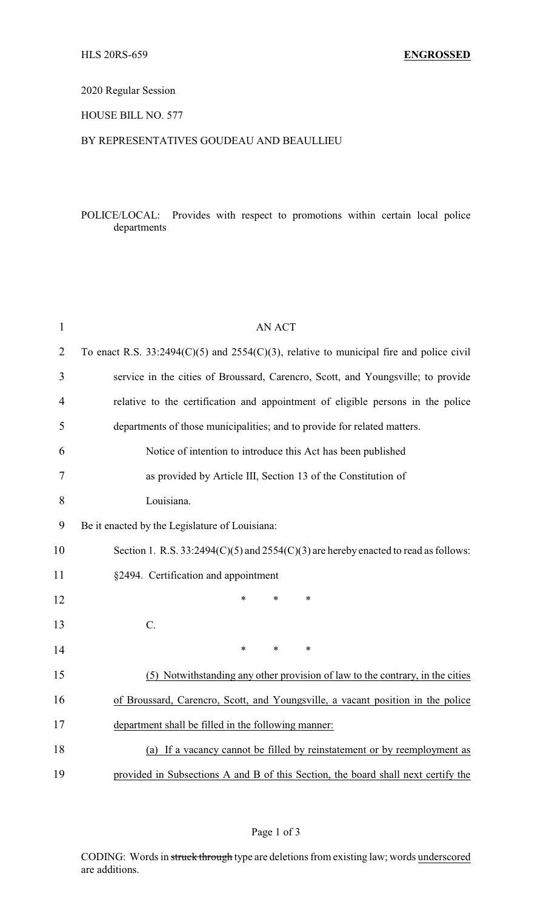# 2020 Regular Session

### HOUSE BILL NO. 577

### BY REPRESENTATIVES GOUDEAU AND BEAULLIEU

## POLICE/LOCAL: Provides with respect to promotions within certain local police departments

| $\mathbf{1}$   | AN ACT                                                                                       |  |  |
|----------------|----------------------------------------------------------------------------------------------|--|--|
| $\overline{2}$ | To enact R.S. $33:2494(C)(5)$ and $2554(C)(3)$ , relative to municipal fire and police civil |  |  |
| 3              | service in the cities of Broussard, Carencro, Scott, and Youngsville; to provide             |  |  |
| $\overline{4}$ | relative to the certification and appointment of eligible persons in the police              |  |  |
| 5              | departments of those municipalities; and to provide for related matters.                     |  |  |
| 6              | Notice of intention to introduce this Act has been published                                 |  |  |
| 7              | as provided by Article III, Section 13 of the Constitution of                                |  |  |
| 8              | Louisiana.                                                                                   |  |  |
| 9              | Be it enacted by the Legislature of Louisiana:                                               |  |  |
| 10             | Section 1. R.S. $33:2494(C)(5)$ and $2554(C)(3)$ are hereby enacted to read as follows:      |  |  |
| 11             | §2494. Certification and appointment                                                         |  |  |
| 12             | $\ast$<br>$\ast$<br>$\ast$                                                                   |  |  |
| 13             | $C$ .                                                                                        |  |  |
| 14             | $\ast$<br>$\ast$<br>$\ast$                                                                   |  |  |
| 15             | (5) Notwithstanding any other provision of law to the contrary, in the cities                |  |  |
| 16             | of Broussard, Carencro, Scott, and Youngsville, a vacant position in the police              |  |  |
| 17             | department shall be filled in the following manner:                                          |  |  |
| 18             | (a) If a vacancy cannot be filled by reinstatement or by reemployment as                     |  |  |
| 19             | provided in Subsections A and B of this Section, the board shall next certify the            |  |  |

CODING: Words in struck through type are deletions from existing law; words underscored are additions.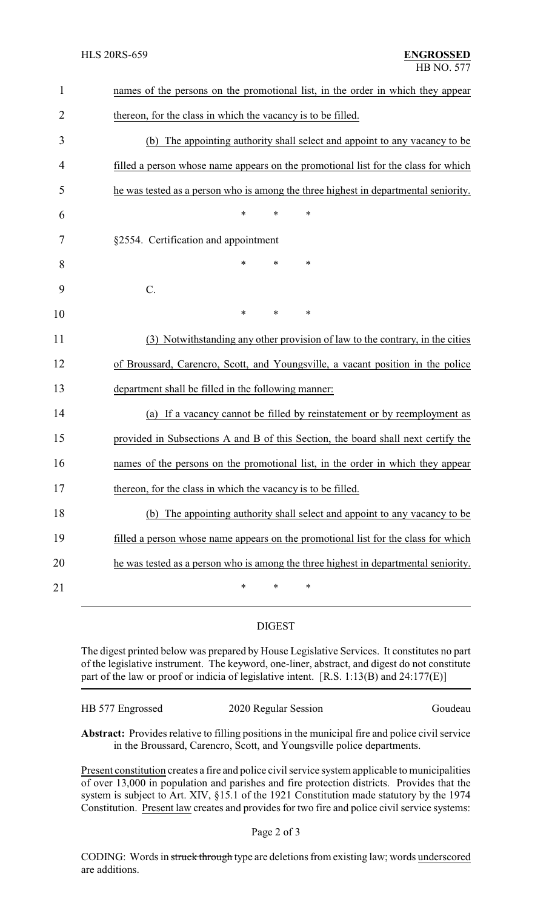| names of the persons on the promotional list, in the order in which they appear     |  |  |
|-------------------------------------------------------------------------------------|--|--|
| thereon, for the class in which the vacancy is to be filled.                        |  |  |
| (b) The appointing authority shall select and appoint to any vacancy to be          |  |  |
| filled a person whose name appears on the promotional list for the class for which  |  |  |
| he was tested as a person who is among the three highest in departmental seniority. |  |  |
| $\ast$<br>∗<br>*                                                                    |  |  |
| §2554. Certification and appointment                                                |  |  |
| $\ast$<br>$\ast$<br>*                                                               |  |  |
| C.                                                                                  |  |  |
| $\ast$<br>*<br>*                                                                    |  |  |
| (3) Notwithstanding any other provision of law to the contrary, in the cities       |  |  |
| of Broussard, Carencro, Scott, and Youngsville, a vacant position in the police     |  |  |
| department shall be filled in the following manner:                                 |  |  |
| (a) If a vacancy cannot be filled by reinstatement or by reemployment as            |  |  |
| provided in Subsections A and B of this Section, the board shall next certify the   |  |  |
| names of the persons on the promotional list, in the order in which they appear     |  |  |
| thereon, for the class in which the vacancy is to be filled                         |  |  |
| (b) The appointing authority shall select and appoint to any vacancy to be          |  |  |
| filled a person whose name appears on the promotional list for the class for which  |  |  |
| he was tested as a person who is among the three highest in departmental seniority. |  |  |
| $\ast$<br>$\ast$<br>$\ast$                                                          |  |  |
|                                                                                     |  |  |

### DIGEST

The digest printed below was prepared by House Legislative Services. It constitutes no part of the legislative instrument. The keyword, one-liner, abstract, and digest do not constitute part of the law or proof or indicia of legislative intent. [R.S. 1:13(B) and 24:177(E)]

|                  |                      | Goudeau |
|------------------|----------------------|---------|
| HB 577 Engrossed | 2020 Regular Session |         |

**Abstract:** Provides relative to filling positions in the municipal fire and police civil service in the Broussard, Carencro, Scott, and Youngsville police departments.

Present constitution creates a fire and police civil service system applicable to municipalities of over 13,000 in population and parishes and fire protection districts. Provides that the system is subject to Art. XIV, §15.1 of the 1921 Constitution made statutory by the 1974 Constitution. Present law creates and provides for two fire and police civil service systems:

CODING: Words in struck through type are deletions from existing law; words underscored are additions.